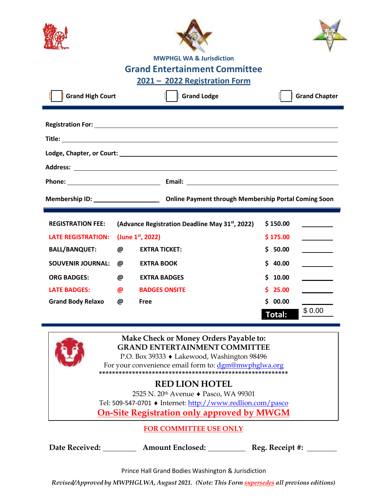|                           |          | <b>MWPHGL WA &amp; Jurisdiction</b>                                                                                                                                                           |               |                      |
|---------------------------|----------|-----------------------------------------------------------------------------------------------------------------------------------------------------------------------------------------------|---------------|----------------------|
|                           |          | <b>Grand Entertainment Committee</b>                                                                                                                                                          |               |                      |
|                           |          | 2021 - 2022 Registration Form                                                                                                                                                                 |               |                      |
| <b>Grand High Court</b>   |          | <b>Grand Lodge</b>                                                                                                                                                                            |               | <b>Grand Chapter</b> |
|                           |          |                                                                                                                                                                                               |               |                      |
|                           |          |                                                                                                                                                                                               |               |                      |
|                           |          |                                                                                                                                                                                               |               |                      |
| <b>REGISTRATION FEE:</b>  |          | (Advance Registration Deadline May 31 <sup>st</sup> , 2022)                                                                                                                                   | \$150.00      |                      |
| <b>LATE REGISTRATION:</b> |          | (June 1st, 2022)                                                                                                                                                                              | \$175.00      |                      |
| <b>BALL/BANQUET:</b>      | @        | <b>EXTRA TICKET:</b>                                                                                                                                                                          | \$50.00       |                      |
| <b>SOUVENIR JOURNAL:</b>  | @        | <b>EXTRA BOOK</b>                                                                                                                                                                             | \$40.00       |                      |
| <b>ORG BADGES:</b>        | @        | <b>EXTRA BADGES</b>                                                                                                                                                                           | \$10.00       |                      |
| <b>LATE BADGES:</b>       | $\omega$ | <b>BADGES ONSITE</b>                                                                                                                                                                          | 25.00         |                      |
| Grand Body Relaxo @       |          | <b>Free</b>                                                                                                                                                                                   | \$00.00       |                      |
|                           |          |                                                                                                                                                                                               | <b>Total:</b> | \$0.00               |
|                           |          | Make Check or Money Orders Payable to:<br><b>GRAND ENTERTAINMENT COMMITTEE</b><br>P.O. Box 39333 ♦ Lakewood, Washington 98496                                                                 |               |                      |
|                           |          | For your convenience email form to: dgm@mwphglwa.org                                                                                                                                          |               |                      |
|                           |          | <b>RED LION HOTEL</b><br>2525 N. 20 <sup>th</sup> Avenue ♦ Pasco, WA 99301<br>Tel: 509-547-0701 ♦ Internet: http://www.redlion.com/pasco<br><b>On-Site Registration only approved by MWGM</b> |               |                      |
|                           |          | <b>FOR COMMITTEE USE ONLY</b>                                                                                                                                                                 |               |                      |
|                           |          | Date Received: ___________ Amount Enclosed: _____________ Reg. Receipt #: ______                                                                                                              |               |                      |
|                           |          | Prince Hall Grand Bodies Washington & Jurisdiction                                                                                                                                            |               |                      |
|                           |          | Revised/Approved by MWPHGLWA, August 2021. (Note: This Form supersedes all previous editions)                                                                                                 |               |                      |